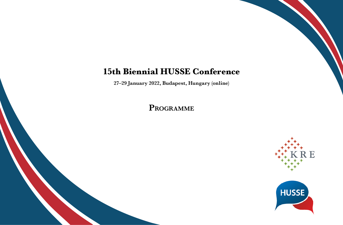## **15th Biennial HUSSE Conference**

**27–29 January 2022, Budapest, Hungary (online)**

**Programme**

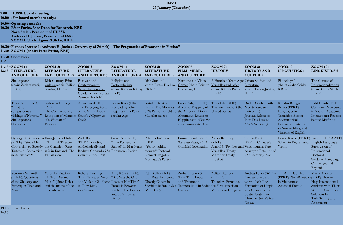|       |                                                                                                                                                                                         |                                                                                                                                                  |                                                                                                                                             |                                                                                              | DAY 1<br>27 January (Thursday)                                                                              |                                                                                                                                                                                           |                                                                                                                        |                                                                                                                                                                                      |                                                                                                                                                                   |                                                                                                                                              |  |  |
|-------|-----------------------------------------------------------------------------------------------------------------------------------------------------------------------------------------|--------------------------------------------------------------------------------------------------------------------------------------------------|---------------------------------------------------------------------------------------------------------------------------------------------|----------------------------------------------------------------------------------------------|-------------------------------------------------------------------------------------------------------------|-------------------------------------------------------------------------------------------------------------------------------------------------------------------------------------------|------------------------------------------------------------------------------------------------------------------------|--------------------------------------------------------------------------------------------------------------------------------------------------------------------------------------|-------------------------------------------------------------------------------------------------------------------------------------------------------------------|----------------------------------------------------------------------------------------------------------------------------------------------|--|--|
|       | 9.00- HUSSE board meeting<br>10.00 (For board members only.)                                                                                                                            |                                                                                                                                                  |                                                                                                                                             |                                                                                              |                                                                                                             |                                                                                                                                                                                           |                                                                                                                        |                                                                                                                                                                                      |                                                                                                                                                                   |                                                                                                                                              |  |  |
|       | 10.00-Opening remarks<br>10.30 Péter Furkó, Vice Dean for Research, KRE<br>Nóra Séllei, President of HUSSE<br>Andreas H. Jucker, President of ESSE<br>ZOOM 1 (chair: Ágnes Györke, KRE) |                                                                                                                                                  |                                                                                                                                             |                                                                                              |                                                                                                             |                                                                                                                                                                                           |                                                                                                                        |                                                                                                                                                                                      |                                                                                                                                                                   |                                                                                                                                              |  |  |
|       | 11.30 ZOOM 1 (chair: Péter Furkó, KRE)                                                                                                                                                  |                                                                                                                                                  | 10.30–Plenary lecture 1: Andreas H. Jucker (University of Zürich): "The Pragmatics of Emotions in Fiction"                                  |                                                                                              |                                                                                                             |                                                                                                                                                                                           |                                                                                                                        |                                                                                                                                                                                      |                                                                                                                                                                   |                                                                                                                                              |  |  |
| 11.45 | $11.30 -$ Coffee break                                                                                                                                                                  |                                                                                                                                                  |                                                                                                                                             |                                                                                              |                                                                                                             |                                                                                                                                                                                           |                                                                                                                        |                                                                                                                                                                                      |                                                                                                                                                                   |                                                                                                                                              |  |  |
|       | 11.45-ZOOM 1:<br>13.15 LITERATURE<br><b>AND CULTURE 1</b>                                                                                                                               | <b>ZOOM 2:</b><br><b>LITERATURE</b><br><b>AND CULTURE 2</b>                                                                                      | <b>ZOOM 3:</b><br><b>LITERATURE</b><br><b>AND CULTURE 3</b>                                                                                 | <b>ZOOM 4:</b><br><b>LITERATURE</b><br><b>AND CULTURE 4</b>                                  | <b>ZOOM 5:</b><br><b>LITERATURE</b><br><b>AND CULTURE 5</b>                                                 | <b>ZOOM 6:</b><br><b>FILM, MEDIA</b><br><b>AND CULTURE</b>                                                                                                                                | <b>ZOOM 7:</b><br><b>HISTORY</b>                                                                                       | <b>ZOOM 8:</b><br><b>HISTORY AND</b><br><b>CULTURE</b>                                                                                                                               | <b>ZOOM 9:</b><br><b>LINGUISTICS 1</b>                                                                                                                            | <b>ZOOM 10:</b><br><b>LINGUISTICS 2</b>                                                                                                      |  |  |
|       | <b>Shakespeare</b><br>(chair: Zsolt Almási,<br>PPKE                                                                                                                                     | 18th-Century Print<br>Culture (chair: Bálint<br>Gárdos, ELTE)                                                                                    | Post-war and<br>Contemporary<br><b>British Fiction and</b><br>Gender (chair: Renáta KRE)<br>Zsámba, EKKE)                                   | Religion and<br>Postsecularism<br>(chair: Katalin Kállay, EKKE)                              | <b>Irish Studies 1</b><br>(chair: Eszter Krakkó,                                                            | Narratives in Video<br>Games (chair: Brigitta<br>Hudácskó, DE)                                                                                                                            | A Hundred Years Ago: Urban Studies and<br><b>Versailles and After</b><br>(chair: Károly Pintér,<br>PPKE)               | Literature<br>(chair: Tamás Juhász,<br>KRE                                                                                                                                           | <u>Phonology 1</u><br>(chair: Csaba Csides,<br>KRE                                                                                                                | The Context of<br>Internationalisation<br>(chair: Csilla Sárdi,<br>PPKE)                                                                     |  |  |
|       | Tibor Fabiny (KRE):<br>"That no<br>compunctious<br>Shakespeare's<br>Conscience                                                                                                          | Gabriella Hartvig<br>(PTE):<br>The Contemporary<br>visitings of Nature": Reception of Memoirs Smith's I Capture the<br>of a Woman of<br>Pleasure | Anna Szirák (DE):<br>The Emerging Voice<br>of the Girl in Dodie<br>Castle                                                                   | István Rácz (DE):<br>Re-reading John<br>Betjeman in a Post-<br>secular Age                   | Katalin Czottner<br>(BGE): The Miracles<br>Muirchú moccu                                                    | Imola Bülgözdi (DE): Tibor Glant (DE):<br>of St Patrick as told by the American Dream: United States?<br><b>Alternative Routes to</b><br>Happiness in Where the<br>Water Tastes Like Wine | Affective Mapping of Trianon—without the Mediterranean                                                                 | Rudolf Sárdi (South<br>University):<br>Joycean Echoes in<br>John Dos Passos's<br>Manhattan Transfer                                                                                  | Katalin Balogné<br>Bérces (PPKE):<br>Languages in<br><b>Transition Zones:</b><br>Asymmetrical<br>Laryngeal Systems<br>in North-of-England<br>Varieties of English | Judit Dombi (PTE):<br>Common (?) Ground<br>in Spoken Academic<br><b>Interactions: Reasons</b><br>behind Misfiring                            |  |  |
|       | Gyöngyi Matus-Kassai Dóra Janczer Csikós<br>(ELTE): "Since My<br>Conversion so Sweetly the Canaries: Opera<br>Tastes": Conversion <i>seria</i> in England: The<br>in As You Like It     | (ELTE): A Theatre in<br>Italian view                                                                                                             | Zsolt Bojti<br>(ELTE): Reading<br>Anthologically and<br>Rodney Garland's The Robinson's Fiction<br>Heart in Exile (1953)                    | Sára Tóth (KRE):<br>"The Postsecular<br>Sacred" in Marilynne                                 | Péter Dolmányos<br>(EKKE):<br>"Yet something"<br>mourns": Pastoral<br>Elements in John<br>Montague's Poetry | Emma Bálint (SZTE): Ágnes Beretzky<br>The Wolf Among Us: A (KRE):                                                                                                                         | Graphic Novelization Arnold J. Toynbee and Ventriloquist: Peter<br>Versailles: Treaty-<br>Maker or Treaty-<br>Breaker? | Tamás Karáth<br>(PPKE): Chaucer's<br>Ackroyd's Retelling of<br>The Canterbury Tales                                                                                                  | Schwa in English and English-Language<br>Welsh                                                                                                                    | László Kristó (EKKE): Katalin Doró (SZTE):<br>Supervision of<br>International<br>Doctoral<br>Students: Language<br>Challenges and<br>Beyond  |  |  |
|       | Veronika Schandl<br>(PPKE): Questions<br>of the Shakespeare<br>Burlesque: Then and<br><b>Now</b>                                                                                        | Veronika Ruttkay<br>(KRE): "Distant<br>Music": János Kriza<br>and the media of the<br>Scottish ballad                                            | Rebeka Kuszinger<br>(DE): Narrative Voice "She Was the C. S.<br>and Violent Childhood Lewis of Her Time":<br>in Toby Litt's<br>Deadkidsongs | Amy Kósa (PPKE):<br>Parallels Between<br>Rachel Held Evans's<br>and C. S. Lewis's<br>Fiction | Edit Gálla (KRE):<br>Our Dual Existence:<br>Ghostly Others in<br><b>Glass Darkly</b>                        | Zsófia Orosz-Réti<br>(DE): Time Loops<br>and Traumatic<br>Sheridan le Fanu's $In a$ Temporalities in Video the First American<br>Games                                                    | Zoltán Peterecz<br>$(EKKE)$ :<br>Theodore Brentano,<br>Minister to Hungary                                             | András Fodor (SZTE): Thi Anh Dao Pham<br>"We were, we are,<br>we will be": The<br>Formation of Utopia<br>as a Change of the<br>Spatial System in<br>China Miéville's Iron<br>Council | (PPKE): Non-Rhoticity (KRE): How to<br>in Vietnamese-<br><b>Accented English</b>                                                                                  | Mária Adorján<br>Help International<br><b>Students with Their</b><br>Writing Assignments:<br>Solutions for<br>Task-Setting and<br>Assessment |  |  |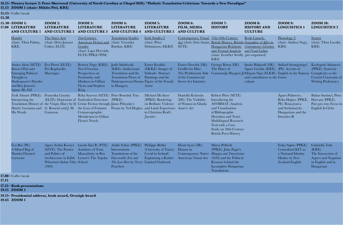| 15.30 |                                                                                                                                                                        |                                                                                                                                                                                                    |                                                                                                                                                                                    |                                                                                                                             |                                                                                                               |                                                                                                 |                                                                                                                                                                                                                                           |                                                                                                                              |                                                                                                                              |                                                                                                                    |
|-------|------------------------------------------------------------------------------------------------------------------------------------------------------------------------|----------------------------------------------------------------------------------------------------------------------------------------------------------------------------------------------------|------------------------------------------------------------------------------------------------------------------------------------------------------------------------------------|-----------------------------------------------------------------------------------------------------------------------------|---------------------------------------------------------------------------------------------------------------|-------------------------------------------------------------------------------------------------|-------------------------------------------------------------------------------------------------------------------------------------------------------------------------------------------------------------------------------------------|------------------------------------------------------------------------------------------------------------------------------|------------------------------------------------------------------------------------------------------------------------------|--------------------------------------------------------------------------------------------------------------------|
|       | 15.30-ZOOM 1:<br>17.00 LITERATURE<br><b>AND CULTURE 1</b>                                                                                                              | $ZOM$ 2:<br><b>LITERATURE</b><br><b>AND CULTURE 2</b>                                                                                                                                              | <b>ZOOM 3:</b><br><b>LITERATURE</b><br><b>AND CULTURE 3</b>                                                                                                                        | <b>ZOOM 4:</b><br><b>LITERATURE</b><br><b>AND CULTURE 4</b>                                                                 | <b>ZOOM 5:</b><br><b>LITERATURE</b><br><b>AND CULTURE 5</b>                                                   | <b>ZOOM 6:</b><br><b>FILM, MEDIA</b><br><b>AND CULTURE</b>                                      | <b>ZOOM 7:</b><br><b>HISTORY</b>                                                                                                                                                                                                          | <b>ZOOM 8:</b><br><b>HISTORY AND</b><br><b>CULTURE</b>                                                                       | <b>ZOOM 9:</b><br><b>LINGUISTICS 1</b>                                                                                       | <b>ZOOM 10:</b><br><b>LINGUISTICS 2</b>                                                                            |
|       | <b>Hamlet</b><br>(chair: Tibor Fabiny,<br>KRE                                                                                                                          | The Sister Arts<br>(chair: Dóra Janczer<br>Csikós, ELTE)                                                                                                                                           | 21st-Century<br>American Fiction and (chair: Veronika<br>Gender<br>(chair: Lajos Horváth,<br>ELTE/PPKE/PIM)                                                                        | <b>Translation Studies</b><br>Ruttkay, KRE)                                                                                 | <b>Irish Studies 2</b><br>(chair: Péter<br>Dolmányos, EKKE)                                                   | Contemporary Visual 17th-19th-Century<br>SZTE                                                   | Art (chair: Irén Annus, British History, British-Geographies of Affect in<br>Hungarian Relations Contemporary Literature<br>and Textual Analysis and Visual Culture<br>(chair: Erzsébet Stróbl, (pre-organised)<br>KRE                    | <b>Book Launch:</b>                                                                                                          | Phonology $2$<br>(chair: Andrea Nagy,<br>KRE                                                                                 | <b>Syntax</b><br>(chair: Tibor Laczkó,<br>KRE                                                                      |
|       | Amira Aloui (SZTE): Éva Péteri (ELTE):<br>Raison d'État and<br><b>Emerging Political</b><br>Thought in<br>Shakespeare's Hamlet<br>and Ben Jonson's<br>Sejanus His Fall | Pre-Raphaelite<br>Marriages                                                                                                                                                                        | Beatrix Nagy (KRE): Judit Mudriczki<br>Neo-Victorian<br>Perspectives on<br>Femininity and<br>Madness in Gillian<br>Flynn and Stephen<br>King                                       | (KRE): Audiovisual<br>Translation and the<br>Translation Flows of<br>Shakespearean Drama Figure of the Female<br>in Hungary | Eszter Krakkó<br>(EKKE): Images of<br>Solitude: Abstract<br>Paintings and the<br>Artist                       | Eszter Ozsváth (DE):<br>Graffiti for Hire:<br>of the Commercial<br><b>Street Art Initiative</b> | György Borus (DE):<br>The Diary of<br>The Problematic Side Constantijn Huygens Jr Mirjam Sági (ELKH), English in the Fantasy                                                                                                              | Imola Bülgözdi (DE), Szilárd Szentgyörgyi<br>Ágnes Györke (KRE), (PE): Accents of<br>and contributors to the Genre<br>volume |                                                                                                                              | Karlygash Adamova<br>(PPKE): Syntactic<br>Complexity as the<br>Crucial Constraint of<br><b>Writing Proficiency</b> |
|       | Zsolt Almási (PPKE): Franciska Linszky<br>Interpreting the<br>His Words                                                                                                | (ELTE): Depictions of Embodied Detection: (PPKE):<br>Translation History of the Virgin Mary by D. Crime Fiction through János Pilinszky's<br>Hamlet: Lucianus and G. Rossetti and J. M.<br>Cameron | Réka Szarvas (SZTE): Péter Benedek Tóta<br>the Lens of Feminist Poems by Ted Hughes and Limit Experience Amer's Art<br>Corporeagraphic<br>Metafiction in Gillian<br>Flynn's Novels |                                                                                                                             | Michael McAteer<br>(PPKE): Bordering<br>on Bedlam: Violence<br>in Christina Reid's<br><i><u>Foyriders</u></i> | Daniella Krisztán<br>(DE): The Visibility<br>of Women in Ghada                                  | Róbert Péter (SZTE):<br>Introducing the<br><b>AVOBMAT</b> (Analysis<br>and Visualization<br>of Bibliographic<br>Metadata and Texts)<br>Multilingual Research<br>Tool with a Case<br>Study on 18th-Century<br><b>British Press History</b> |                                                                                                                              | <b>Agnes Piukovics,</b><br>Réka Hajner (PPKE,<br>PE): Róna(r)utca<br>and Stefánia(r)út:<br>Hungarians and the<br>Intrusive-R | Balázs Surányi, Péter<br>Hatvani (PPKE):<br>Pars pro toto Focus in<br>English It-Clefts                            |
|       | $\hat{E}$ va Bús (PE):<br>A Mixed Bag of<br>Hamlet-Themed<br>Cartoons                                                                                                  | Ágnes Zsófia Kovács<br>(SZTE): The Poetics<br>and Politics of<br>Architecture in Edith Lerner's The Topeka<br>Wharton's Italian Villas School<br>(1904)                                            | László Sári B. (PTE): Anikó Sohár (PPKE):<br>Antidotes of Toxic<br>Masculinity in Ben                                                                                              | Intersemiotic<br>Translations of the<br>Discworld: Eric and<br>The Last Hero by Terry Limited Outbreak<br>Pratchett         | <b>Philippe Brillet</b><br>(University of Tours):<br>Covid in Ireland:<br>Explaining a Rather                 | Hend Ayari (DE):<br>Humor in<br>American Visual Art                                             | Márta Pellérdi<br>(PPKE): John Paget's<br>Contemporary Native Hungary and Transylvania<br>(1839) and the Political<br>Reasons behind the<br>Incomplete Hungarian<br>Translations                                                          |                                                                                                                              | Erika Sajtós (PPKE):<br>Centralised KIT as<br>a National Identity<br>Marker in New<br>Zealand English                        | Gabriella Tóth<br>$(KRE)$ :<br>The Interaction of<br><b>Aspect and Negation</b><br>in English and in<br>Hungarian  |
| 17.15 | 17.00-Coffee break                                                                                                                                                     |                                                                                                                                                                                                    |                                                                                                                                                                                    |                                                                                                                             |                                                                                                               |                                                                                                 |                                                                                                                                                                                                                                           |                                                                                                                              |                                                                                                                              |                                                                                                                    |
|       | 17.15-Book presentations<br>19.15 ZOOM 1                                                                                                                               |                                                                                                                                                                                                    |                                                                                                                                                                                    |                                                                                                                             |                                                                                                               |                                                                                                 |                                                                                                                                                                                                                                           |                                                                                                                              |                                                                                                                              |                                                                                                                    |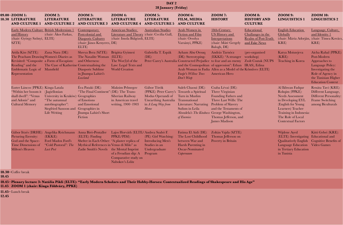|  | DAY 2<br>28 January (Friday)                                                                                                                                            |                                                                                                                                                                         |                                                                                                                                                           |                                                                                                          |                                                                                                                          |                                                                                                                                                                                                                                  |                                                                                                                                                                                |                                                                          |                                                                                                                                                                                                            |                                                                                                                                                                      |
|--|-------------------------------------------------------------------------------------------------------------------------------------------------------------------------|-------------------------------------------------------------------------------------------------------------------------------------------------------------------------|-----------------------------------------------------------------------------------------------------------------------------------------------------------|----------------------------------------------------------------------------------------------------------|--------------------------------------------------------------------------------------------------------------------------|----------------------------------------------------------------------------------------------------------------------------------------------------------------------------------------------------------------------------------|--------------------------------------------------------------------------------------------------------------------------------------------------------------------------------|--------------------------------------------------------------------------|------------------------------------------------------------------------------------------------------------------------------------------------------------------------------------------------------------|----------------------------------------------------------------------------------------------------------------------------------------------------------------------|
|  | 09.00-ZOOM 1:<br><b>10.30 LITERATURE</b><br><b>AND CULTURE 1</b>                                                                                                        | <b>ZOOM 2:</b><br><b>LITERATURE</b><br><b>AND CULTURE 2</b>                                                                                                             | <b>ZOOM 3:</b><br><b>LITERATURE</b><br><b>AND CULTURE 3</b>                                                                                               | <b>ZOOM 4:</b><br><b>LITERATURE</b><br><b>AND CULTURE 4</b>                                              | <b>ZOOM 5:</b><br><b>LITERATURE</b><br><b>AND CULTURE 5</b>                                                              | <b>ZOOM 6:</b><br><b>FILM, MEDIA</b><br><b>AND CULTURE</b>                                                                                                                                                                       | <b>ZOOM 7:</b><br><b>HISTORY</b>                                                                                                                                               | <b>ZOOM 8:</b><br><b>HISTORY AND</b><br><b>CULTURE</b>                   | <b>ZOOM 9:</b><br><b>LINGUISTICS 1</b>                                                                                                                                                                     | <b>ZOOM 10:</b><br><b>LINGUISTICS 2</b>                                                                                                                              |
|  | Early Modern Culture British Modernism 1<br>and History<br>(chair: György Szőnyi, ELTE)<br>SZTE                                                                         | (chair: Ákos Farkas,                                                                                                                                                    | <u>Contemporary</u><br>Postcolonial and<br>Diasporic Cultures<br>(chair: János Kenyeres, DE)<br>ELTE)                                                     | <b>American Studies:</b><br>Literature and Theory (chair: Cecilia Gall,<br>(chair: Imola Bülgözdi, ELTE) | <b>Australian Studies</b>                                                                                                | Arab Women in<br><b>Fiction and Film</b><br>(chair: Orsolya<br>Varsányi, PPKE)                                                                                                                                                   | 18th-Century<br><b>US History and</b><br>Interpretations<br>(chair: Máté Gergely<br>Balogh, DE)                                                                                | Educational<br>Challanges in the<br>Realm of Post-Truth<br>and Fake News | <b>English Education</b><br>Globally<br>KRE)                                                                                                                                                               | Language, Culture,<br>and Identity 1<br>(chair: Mária Adorján, (chair: Tímea Kovács,<br>KRE                                                                          |
|  | Attila Kiss (SZTE):<br>The Peacham Drawing Women's Diaries as<br>Revisited: "Composite a Form of Escapism:<br>Reading" and the<br>Emblematic Logic of<br>Representation | Zana Nura (DE):<br>The Case of Katherine Contextualising the<br>Mansfield                                                                                               | Shreya Bera (SZTE): Brigitta Gyimesi<br>The Naxalite Woman (ELTE):<br>and Otherness:<br>Diasporic Sublime<br>in Jhumpa Lahiri's<br>Lowland                | The Wor(l)d of the<br>Law: Legal Texts and<br><b>World Creation</b>                                      | Gabriella T. Espák<br>$(DE)$ :                                                                                           | Ayham Abu Orouq<br>(DE): Stereotyping-<br>Peter Carey's Australia Constructed Prejudice to fear and an enemy Zsolt Csutak (NUPS<br>and the Cosmopolitan of oppression": Ethan IRAS), Edina<br>Faqir's Willow Trees<br>Don't Weep | András Tarnócz<br>(EKKE): "A stranger workshop)<br>Arab Woman in Fadia Allen as a Model of the Kőműves (ELTE)<br>American Hero                                                 | (pre-organised                                                           | Katya Moiszejeva<br>$(KRE)$ :<br><b>Teaching in Korea</b>                                                                                                                                                  | Aicha Rahal (PPKE):<br>Post-Modern<br>Approaches to<br>Language Policy:<br>Investigating the<br>Role of Agency in<br>the Tunisian Higher<br><b>Education Context</b> |
|  | Eszter Láncos (PPKE): Kinga Latala<br>"Within her bosom it (Jagiellonian<br>shall dwell": "Venus<br>and Adonis" and<br><b>Cultural Memory</b>                           | University in Kraków): Geographies<br>"The autumnal"<br>autobiographer":<br>Siegfried Sassoon and<br>Life Writing                                                       | Éva Pataki (DE):<br>"The Final Continent": (DE): The Trans-<br>of Emotions<br>and Emotional<br>Geographies in<br>Jhumpa Lahiri's Short<br>Fiction         | <b>Maksim Pelmegov</b><br>Siberian Railway<br>in American travel<br>writing, 1900-1903                   | Gábor Török<br>(PPKE): Peter Carey's<br>Modus Operandi of<br><b>Unearthing Australia</b><br>in $A$ Long Way from<br>Home | Saleh Chaoui (DE):<br>Towards a Spiritual<br>Turn in Muslim<br>Transnational<br>Literature: Narrating<br>Sufism in Leila<br>Aboulela's The Kindness George Washington,<br>of Enemies                                             | Csaba Lévai (DE):<br>Three Virginian<br>Founding Fathers and<br>Three Last Wills: The<br>Problem of Slavery<br>and the Testaments of<br>Thomas Jefferson, and<br>James Madison |                                                                          | Al Ikhwan Fadqur<br>Rohqim (PPKE):<br><b>Needs Assessment</b><br>in Developing EYL<br>(English for Young)<br>Learners) Teacher<br>Training in Indonesia:<br>The Role of Local<br><b>Contextual Factors</b> | Renáta Tavi (KRE):<br>Different Language,<br>Different Personality:<br>Frame Switching<br>among Biculturals                                                          |
|  | Picturing Eternity:<br>God and the Space-<br>Time Dimensions of<br>Milton's Heaven                                                                                      | Gábor Ittzés (DRHE): Angelika Reichmann Anna Biró-Pentaller Lajos Horváth (ELTE/Andrea Szabó F.<br>$(EKKE)$ :<br>Ford Madox Ford's<br>"Cold Pastoral": The<br>Last Post | $(ELTE)$ : Finding<br>Shelter in Each Other: "A plaster replica of<br>Mythical References in Venus di Milo" as<br>Zadie Smith's Novels the Mental Imprint | PPKE/PIM):<br>of a Freudian slip: A<br>Comparative study on<br>Nabokov's Lolita                          | (PE): Girl Watching:<br>Introducing Men's<br>Studies in an<br>Undergraduate<br>Program                                   | Fatima El Aidi (DE): Zoltán Vajda (SZTE):<br>The Lost Childhood<br>between War and<br>Harsh Parenting in<br>Oscar-Nominated<br>Capernaum                                                                                         | Thomas Jefferson on<br>Poverty in Britain                                                                                                                                      |                                                                          | Wijdene Ayed<br>(ELTE): Investigating Educational and<br>Qualitatively English Cognitive Benefits of<br>Language Education Video Games<br>in Tertiary Education<br>in Tunisia                              | Kitti Gebei (KRE):                                                                                                                                                   |

**10.45**

**10.30–** Coffee break

**10.45– [Plenary lecture 3: Natália Pikli \(ELTE\): "Early Modern Scholars and Their Hobby-Horses: Contextualized Readings of Shakespeare and His Age"](https://us02web.zoom.us/j/84131816188?pwd=WXhLcXBLVWZxYkFnUW5mMlpkNVU5UT09) 11.45 [ZOOM 1 \(chair: Kinga Földváry, PPKE\)](https://us02web.zoom.us/j/84131816188?pwd=WXhLcXBLVWZxYkFnUW5mMlpkNVU5UT09)**

**12.45**

**11.45–** Lunch break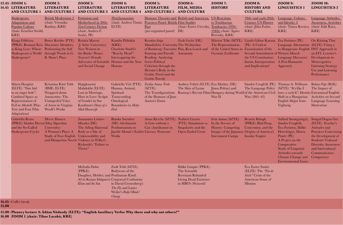|       | $12.45 - ZOOM$ 1:<br>14.45 LITERATURE<br><b>AND CULTURE 1</b>                                                                                                              | <b>ZOOM 2:</b><br><b>LITERATURE</b><br><b>AND CULTURE 2</b>                                                                                                                     | <b>ZOOM 3:</b><br><b>LITERATURE</b><br><b>AND CULTURE 3</b>                                                                                                         | <b>ZOOM 4:</b><br><b>LITERATURE</b><br><b>AND CULTURE 4</b>                                                           | <b>ZOOM 5:</b><br><b>LITERATURE</b><br><b>AND CULTURE 5</b>                                                                                                                                                                                                                           | <b>ZOOM 6:</b><br><b>FILM, MEDIA</b><br><b>AND CULTURE</b>                                                                      | <b>ZOOM 7:</b><br><b>HISTORY</b>                                                                                                                       | <b>ZOOM 8:</b><br><b>HISTORY AND</b><br><b>CULTURE</b>                                                                        | <b>ZOOM 9:</b><br><b>LINGUISTICS 1</b>                                                                                                                                                                                                     | <b>ZOOM 10:</b><br><b>LINGUISTICS 2</b>                                                                                                                                                               |
|-------|----------------------------------------------------------------------------------------------------------------------------------------------------------------------------|---------------------------------------------------------------------------------------------------------------------------------------------------------------------------------|---------------------------------------------------------------------------------------------------------------------------------------------------------------------|-----------------------------------------------------------------------------------------------------------------------|---------------------------------------------------------------------------------------------------------------------------------------------------------------------------------------------------------------------------------------------------------------------------------------|---------------------------------------------------------------------------------------------------------------------------------|--------------------------------------------------------------------------------------------------------------------------------------------------------|-------------------------------------------------------------------------------------------------------------------------------|--------------------------------------------------------------------------------------------------------------------------------------------------------------------------------------------------------------------------------------------|-------------------------------------------------------------------------------------------------------------------------------------------------------------------------------------------------------|
|       | <b>Shakespeare</b><br><b>Adaptations and</b><br><b>Popular Culture</b><br>(chair: Erzsébet Stróbl,<br>KRE                                                                  | British Modernism 2<br>(chair: Veronika<br>Ruttkay, KRE)                                                                                                                        | Feminism and<br>Motherhood in 20th-<br>21st-Century Fiction<br>(chair: Andrea F.<br>Szabó, PE)                                                                      | (Post)humanism<br>(chair: Andrea Timár,<br>ELTE)                                                                      | Practices Panel: British Film Studies<br>Part<br>(pre-organised panel)                                                                                                                                                                                                                | Humour Theories and British and American US Reactions<br>(chair: Eszter Ureczky, Tendencies (1930–<br>DE)                       | to Totalitarian<br>$1940s$ (chair: Agnes<br>Beretzky, KRE)                                                                                             | 19th- and early-20th-<br><b>Century US History</b><br>(chair: Júlia Fodor,<br>KRE                                             | <u>Language, Culture,</u><br>and Identity 2<br>(chair: Tímea Kovács, (chair: Edit Rácz,<br>KRE                                                                                                                                             | Language Attitudes,<br><b>Awareness, Activities</b><br>KRE                                                                                                                                            |
|       | Kinga Földváry<br>(PPKE): Romani Kris Discursive Identities:<br>as King Lear: Whose Performing the Self<br>Shakespeare is World through Words in G.<br>Shakespeare?        | Bence Kvéder (PTE):<br><b>B.</b> Shaw's Plays                                                                                                                                   | Renáta Marosi<br>(J. Selye University):<br>New Women in<br>the Banks' House:<br>Travers's Female<br>Advocates of Scientific Human and the Non-<br>and Social Change | Katalin Pálinkás<br>$(KRE)$ :<br>Charlotte Smith's<br>"Beachy Head":<br>Interrogating the<br>Human                    | Kerstin-Anja<br>Münderlein (University The Wednesday<br>of Bamberg): Excessive Play, Ken Loach and<br>Fainting and Parodic Autonomy<br><b>Bending: Analysing</b><br>Socio-Political<br>Criticism through the<br>Heroine's Body in the<br>Gothic Novel and the<br><b>Gothic Parody</b> | Zsolt Győri (DE):                                                                                                               | Márton Tőke (SZTE): László Gábor Katona Eva Forintos (PE):<br>The Representation<br>of the United States in Examination of the<br>German Exilliteratur | (PE): A Critical<br>Second Amendment of Written Mixed-<br>the US Constitution:<br>Intent, Interpretation<br>and Implications? | Language Alternation (ELTE): Using a<br>in Hungarian-English DST Approach in<br>Language Discourse:<br>A Post-Humanist<br>Approach                                                                                                         | Oo Khaing Thet<br>an EFL Learner's<br>Development in<br>Metacognitive<br><b>Listening Strategy</b><br>Use and Listening<br>Performance                                                                |
|       | Márta Hargitai<br>(ELTE): "Fate hid<br>in an auger hole":<br>Confined Space as<br>Representation of<br>Evil in <i>Macbeth</i> (Play-<br>Text and Four Film<br>Adaptations) | Krisztina Kitti Tóth<br>$(BME, ELTE)$ :<br>Wrapped about<br>Anonymity: The<br><b>Unimpeded Voice</b><br>of Anon in Virginia<br>Woolf's Works                                    | Hajighasemi<br>Mahdokht (ELTE):<br>Lost in Marriage,<br>Hurt in Love: Scripts<br>of Gender in Sue<br>Kaufman's <i>Diary of a</i><br>Mad Housewife                   | Gabriella Vöő (PTE):<br>Human, Animal,<br>Spiritual:<br>Transcending<br>Ontological<br>Boundaries in Moby-<br>Dick    | Zsófia Anna Tóth<br>$(SZTE)$ :<br>The Transfigurations<br>of the Humour of Jane<br>Austen's Emma                                                                                                                                                                                      | Andrea Velich (ELTE): Eva Mathey (DE):<br>The Skin of Lynne                                                                     | János Pelényi and<br>War II                                                                                                                            | Sándor Czeglédi (PE): Thomas A. Williams<br>The Language Policy (SZTE): "It's like I<br>War $(1861-65)$                       | Ramsay's Recent Films Hungary during World of the American Civil have a switch": Identity Extramural English<br>Shift in a Hungarian Activities on Second<br>English Major from<br>Vajdaság                                                | Balázs Fajt (BGE):<br>The Impact of<br>Language Learning<br>Motivation                                                                                                                                |
|       | Gabriella Reuss<br>(PPKE): Sándor Hevesi (Muş Alparslan<br>and the So-Called                                                                                               | Merve Hancer<br>University):<br>Shakespeare-Cycles A Woman's Place: A Body as a Site of<br>Study of Four English Unknowability and<br>and Hungarian Novels Violence in Willa C. | Zsuzsanna Lénárt-<br>Muszka (DE):<br>The Ailing Maternal<br>Richards's "Failure to<br>Thrive"                                                                       | Bianka Szendrei<br>(DE): Afrofuturist<br>Posthumanism in<br>Janelle Monáe's Earlier Literary Nonsense<br>Works        | Anna Kérchy (SZTE): Norbert Gyuris<br>A Grin without a<br>Cat: (Anti)humor in                                                                                                                                                                                                         | (PTE): Simulation vs.<br>Singularity and the<br>Open-Ended Crisis Images of the Japanese Origins of America's Hortobágyi, Márta | Irén Annus (SZTE):<br>In the Service of<br><b>History: Competing</b><br><b>Internment Camps</b>                                                        | <b>Beatrix Balogh</b><br>(PPKE): Bird Poop,<br>Concession, and the<br><b>Insular Empire</b>                                   | Szilárd Szentgyörgyi,<br>Sándor Czeglédi,<br>Éva Forintos, Ildikó<br>Pintér $(PE)$ :<br>A Project on the<br>Comparative<br><b>Study of Linguistic</b><br>Attitudes towards<br>Climate Change and Competence<br><b>Environmental Issues</b> | Songul Dogan Ger<br>(ELTE): Teacher's<br>Attitudes and<br><b>Practices Concerning</b><br>the Development of<br>Students' Cultural<br><b>Diversity Awareness</b><br>and Intercultural<br>Communicative |
|       |                                                                                                                                                                            |                                                                                                                                                                                 | Melinda Dabis<br>(PPKE):<br>Daughter, Mother, and Posthuman Kind:<br>AI in Kazuo Ishiguro's Corporeal Confusions<br>Klara and the Sun                               | Zsolt Tóth (SZTE):<br>Bodytexts of the<br>in David Cronenberg's<br>The Fly and Lance<br>Weiler's Body/Mind/<br>Change |                                                                                                                                                                                                                                                                                       | Ildikó Limpár (PPKE):<br>The Scientific<br><b>Revenant Reloaded:</b><br><b>Living Dead Existence</b><br>in HBO's Westworld      |                                                                                                                                                        | Éva Eszter Szabó<br>$(ELTE)$ : The "Fin de"<br>Siècle" Crisis of the<br>American Sense of<br>Mission                          |                                                                                                                                                                                                                                            |                                                                                                                                                                                                       |
| 15.00 | $14.45 -$ Coffee break                                                                                                                                                     |                                                                                                                                                                                 |                                                                                                                                                                     |                                                                                                                       |                                                                                                                                                                                                                                                                                       |                                                                                                                                 |                                                                                                                                                        |                                                                                                                               |                                                                                                                                                                                                                                            |                                                                                                                                                                                                       |

**15.00– [Plenary lecture 4: Ádám Nádasdy \(ELTE\): "English Auxiliary Verbs: Why these and why not others?"](https://us02web.zoom.us/j/86557121977?pwd=QVVjU3pSK2dBei9tNzYyWE1pNk96Zz09) 16.00 [ZOOM 1 \(chair: Tibor Laczkó, KRE\)](https://us02web.zoom.us/j/86557121977?pwd=QVVjU3pSK2dBei9tNzYyWE1pNk96Zz09)**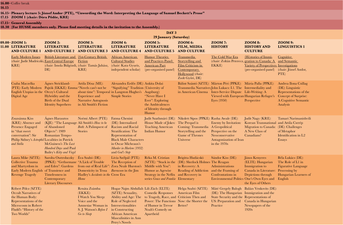**16.15**

**16.00–** Coffee break

**16.15– [Plenary lecture 5: József Andor \(PTE\), "Unwording the Word: Interpreting the Language of Samuel Beckett's Prose"](https://us02web.zoom.us/j/84491856249?pwd=cUY1SWpQWjNBU29iV2dGQ3o0bW9UZz09)**

**17.15 [ZOOM 1 \(chair: Dóra Pődör, KRE\)](https://us02web.zoom.us/j/84491856249?pwd=cUY1SWpQWjNBU29iV2dGQ3o0bW9UZz09)**

**17.15– General Assembly**

**18.30 (For HUSSE members only. Please find meeting details in the invitation to the Assembly.)**

| DAY 3<br>29 January (Saturday) |                                                                                                                                                                          |                                                                                                                                                                                                         |                                                                                                                                |                                                                                                                                                                                                                         |                                                                                                                                                                          |                                                                                                                                                |                                                                                                                                                                                                                                                          |                                                                                                                            |                                                                                                                                       |
|--------------------------------|--------------------------------------------------------------------------------------------------------------------------------------------------------------------------|---------------------------------------------------------------------------------------------------------------------------------------------------------------------------------------------------------|--------------------------------------------------------------------------------------------------------------------------------|-------------------------------------------------------------------------------------------------------------------------------------------------------------------------------------------------------------------------|--------------------------------------------------------------------------------------------------------------------------------------------------------------------------|------------------------------------------------------------------------------------------------------------------------------------------------|----------------------------------------------------------------------------------------------------------------------------------------------------------------------------------------------------------------------------------------------------------|----------------------------------------------------------------------------------------------------------------------------|---------------------------------------------------------------------------------------------------------------------------------------|
|                                | 09.00-ZOOM 1:<br>11.00 LITERATURE<br><b>AND CULTURE 1</b>                                                                                                                | <b>ZOOM 2:</b><br><b>LITERATURE</b><br><b>AND CULTURE 2</b>                                                                                                                                             | <b>ZOOM 3:</b><br><b>LITERATURE</b><br><b>AND CULTURE 3</b>                                                                    | <b>ZOOM 4:</b><br><b>LITERATURE</b><br><b>AND CULTURE 4</b>                                                                                                                                                             | <b>ZOOM 5:</b><br><b>LITERATURE</b><br><b>AND CULTURE 5</b>                                                                                                              | <b>ZOOM 6:</b><br>FILM, MEDIA<br><b>AND CULTURE</b>                                                                                            | <b>ZOOM 7:</b><br><b>HISTORY</b>                                                                                                                                                                                                                         | <b>ZOOM 8:</b><br><b>HISTORY AND</b><br><b>CULTURE</b>                                                                     | <b>ZOOM 9:</b><br><b>LINGUISTICS 1</b>                                                                                                |
|                                | <b>Early Modern Issues</b><br>(chair: Judit Mudriczki, East-Central Europe<br>KRE                                                                                        | British Literature and 21st-Century British<br>(chair: Imola Bülgözdi, (chair: Tamás Juhász,<br>DE                                                                                                      | <b>Fiction</b><br>KRE                                                                                                          | <b>African American</b><br><b>Cultural Studies</b><br>(chair: Kata Gyuris,<br>independent scholar)                                                                                                                      | <b>Humor Theories</b><br>and Practices Panel:<br><b>American Part</b><br>(pre-organised panel)                                                                           | Transmedia<br>Storytelling and<br>Film Criticism in<br><u>Contemporary</u><br>Hollywood (chair:<br>Zsolt Győri, DE)                            | The Cold War Era<br>(chair: Zoltán Peterecz, gration to Canada: A<br>EKKE)                                                                                                                                                                               | (Hi)stories of Immi-<br>Variety of Perspectives Investigations<br>(pre-organised panel)                                    | Cognitive<br>and Semantic<br>(chair: József Andor,<br>PTE)                                                                            |
|                                | Csaba Maczelka<br>(PTE): Early Modern<br>English Utopias in the Orczy's Cultural<br>Digital Age                                                                          | Agnes Strickland-<br>Pajtók (EKKE): Emma "Novels can't not be<br>Hybridity and the<br>Birth of the Dual<br><b>Identity Superhero</b>                                                                    | Attila Dósa (ME):<br><b>Experience and</b><br>Narrative Autognosis<br>in Ali Smith's Fiction                                   | Alexandra Erdős (DE): Ankita Dolai<br>"Signifying" Tradition (University of<br>about time": Temporal in Langston Hughes's<br><b>Simple Stories</b>                                                                      | Augsburg):<br>"Never Have I<br>Ever": Exploring<br>the Ambivalences<br>of Identity through<br>Humor                                                                      |                                                                                                                                                | Bálint Szántó (SZTE): Márton Péri (PPKE): Mária Palla (PPKE):<br>Transmedia Narratives John Lukacs: I.1. The Intermediality and<br>in American Cinema Inter-Service Dispute Life-Writing: A<br>Viewed with European Hungarian Refugee's<br>Eyes $(1950)$ | Perspective                                                                                                                | Andrea Ilona Csillag<br>(DE): Linguistic<br>Representations of the<br><b>Concept of Surprise:</b><br>A Cognitive Semantic<br>Analysis |
|                                | Zsuzsánna Kiss<br>(KRE): Absence and<br><b>Presence Engaged</b><br>in "that sweet<br>conversation": Sir<br>Philip Sidney's Astrophil Localities in Patrick<br>and Stella | <b>Ágnes Harasztos</b><br>(KJE): "The Language Ali Smith's How to be<br>of Abandoned<br>Objects": 1989<br>Romanian Tempo-<br>McGuiness's The Last<br>Hundred Days and Paul<br>Bailey's Kitty and Virgil | Noémi Albert (PTE):<br><i>Both</i> : A Palimpsest of<br><b>Stories</b>                                                         | Fatma Chenini<br>(DE): Internalized<br><b>Racism and Racial</b><br><b>Stratification: The</b><br>Representation of<br><b>Black Male Characters</b><br>in Oscar Micheaux's<br>Murder in Harlem (1932)<br>and God's Step  | Judit Szathmári (DE):<br>House Made of Jokes:<br><b>Teaching American</b><br>Indian Humor                                                                                | Nikolett Sipos (PPKE): Rasha Awale (DE):<br>The Prequel is<br>Coming: Transmedia<br>Storytelling and the<br><b>Game of Thrones</b><br>Universe | Enemy by Invitation:<br>A Geopolitical<br>Perspective on the<br>Neoconservative<br>Antagonization of Iran<br>in the $1970s$                                                                                                                              | Judit Nagy (KRE):<br>Korean Transnational and Attila Cserép<br>Migration to Canada:<br>A New Class of<br>Canadians?        | Tamari Narimanishvili<br>(DE): Challenges<br>of Metaphor<br>Identification in L2<br>Essays                                            |
|                                | Laura Mike (SZTE):<br><b>Collective Trauma</b><br>and Martyrdom in<br>Early Modern English of Transience and<br><b>Revenge Tragedy</b>                                   | Sarolta Osztroluczky Éva Szabó (DE):<br>(PPKE): "Gethsemane "A Lick of Trouble<br>Timelessness in<br>Contemporary<br><b>Literary Discourses</b>                                                         | Domesticity in Tessa <i>Barracoon</i> in the Jim<br>Hadley's Accidents in the Crow Era<br>Home                                 | Lívia Szélpál (PTE):<br>The Reception of<br>and Eden": Gardens from out of Real Life": Zora Neale Hurston's Middle with You":                                                                                           | Réka M. Cristian<br>Humor as Agewise<br>Strategy in the Neflix and Recovery in<br>series Grace and Frankie Elementary                                                    | Brigitta Hudácskó<br>(SZTE): "Stuck in the (DE): Sherlock Holmes The Reagan<br>in Recovery: A<br><b>Reading of Addiction</b>                   | Sándor Kiss (DE):<br>Administrations<br>and the Framing of<br>Confrontations in<br>Environmental Politics One's Own Eyes and                                                                                                                             | János Kenyeres<br>(ELTE): Hungarian<br>Immigration to<br>Canada in Literature:<br>Depictions through<br>the Eyes of Others | Béla Lukács (DE):<br>The Role of L1 in<br><b>Figurative Language</b><br>Processing by<br>Hungarian Learners of<br>English             |
|                                | Róbert Pölcz (SZTE):<br><b>Occult Narratives of</b><br>the Human Body:<br>Representations of the<br>Microcosm in Robert<br>Fludd's "History of the<br>Two Worlds"        |                                                                                                                                                                                                         | Renáta Zsámba<br>(EKKE):<br>I Watch You Sleep:<br>Voice and the<br>Amnesiac Woman in<br>S. J. Watson's Before I<br>Go to Sleep | Hogar Najm Abdullah Lili Zách (ELTE):<br>(SZTE): Sexuality,<br>Ability and Age: The<br><b>Role of Neglected</b><br>Intersectionalities<br>in Constructing<br>African American<br>Masculinities in Ann<br>Petry's Novels | <b>Comedic Responses</b><br>to Tragedy, Race, and Criticism Then and<br>Power: The Functions Now: the Shorter the<br>of Humor in Trevor<br>Noah's Comedy on<br>Apartheid | Helga Szabó (SZTE):<br>American Film<br>Better?                                                                                                | (DE): The Hungarian Immigration and the<br>State Security and the Representations of<br>US: Preparation and<br>Practice                                                                                                                                  | Máté Gergely Balogh Balázs Venkovits (DE):<br>Canada in Hungarian<br>Newspapers of the<br>1920s                            |                                                                                                                                       |